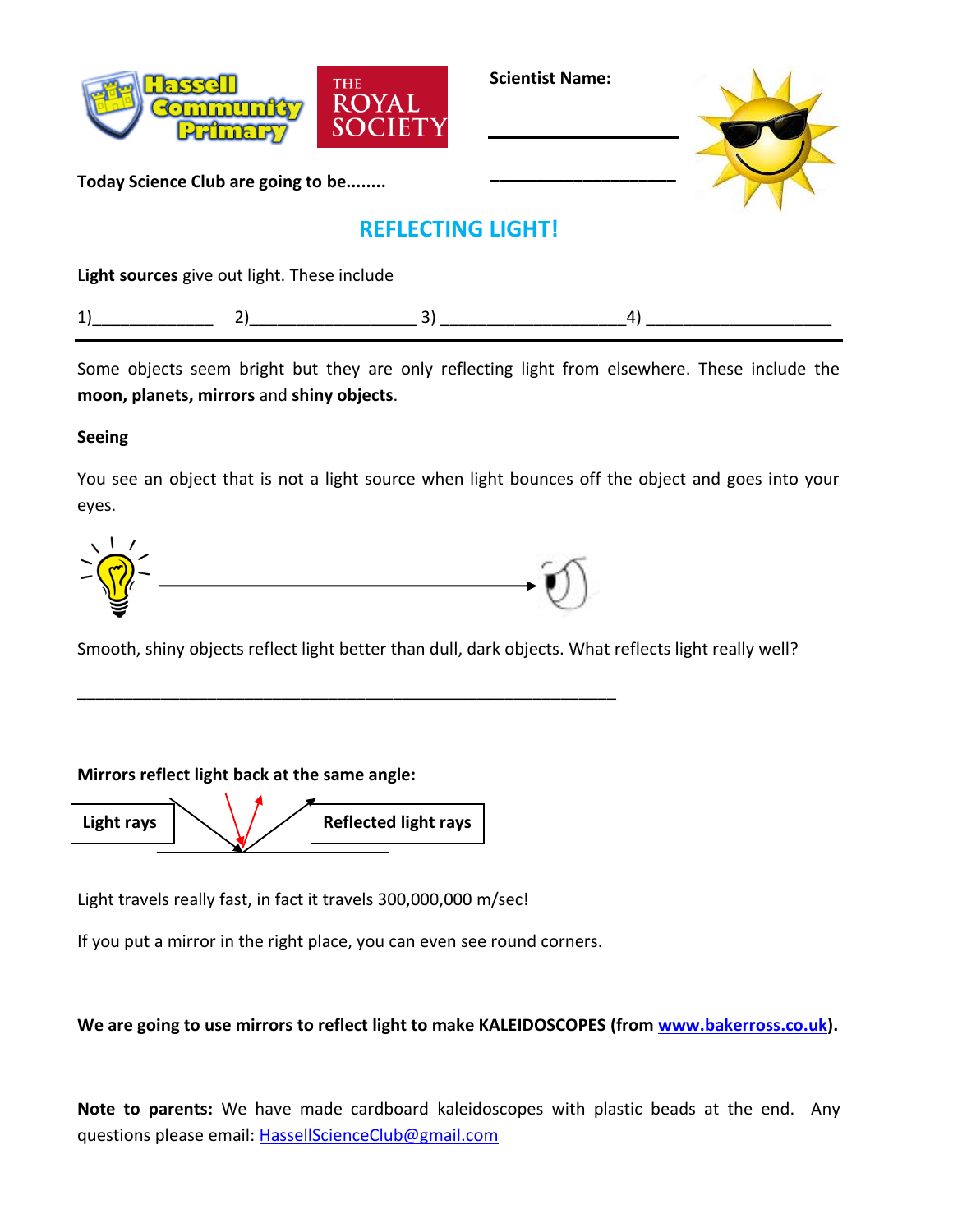

**Scientist Name:**

**\_\_\_\_\_\_\_\_\_\_\_\_\_\_\_\_\_\_\_\_**



**Today Science Club are going to be........**

## **REFLECTING LIGHT!**

L**ight sources** give out light. These include

|--|

Some objects seem bright but they are only reflecting light from elsewhere. These include the **moon, planets, mirrors** and **shiny objects**.

## **Seeing**

You see an object that is not a light source when light bounces off the object and goes into your eyes.



\_\_\_\_\_\_\_\_\_\_\_\_\_\_\_\_\_\_\_\_\_\_\_\_\_\_\_\_\_\_\_\_\_\_\_\_\_\_\_\_\_\_\_\_\_\_\_\_\_\_\_\_\_\_\_\_\_\_

Smooth, shiny objects reflect light better than dull, dark objects. What reflects light really well?

## **Mirrors reflect light back at the same angle:**

Light rays  $\left|\left\langle \right\rangle \right|$  /  $\left|$  Reflected light rays

Light travels really fast, in fact it travels 300,000,000 m/sec!

If you put a mirror in the right place, you can even see round corners.

**We are going to use mirrors to reflect light to make KALEIDOSCOPES (from [www.bakerross.co.uk\)](http://www.bakerross.co.uk/).**

**Note to parents:** We have made cardboard kaleidoscopes with plastic beads at the end. Any questions please email: [HassellScienceClub@gmail.com](mailto:HassellScienceClub@gmail.com)